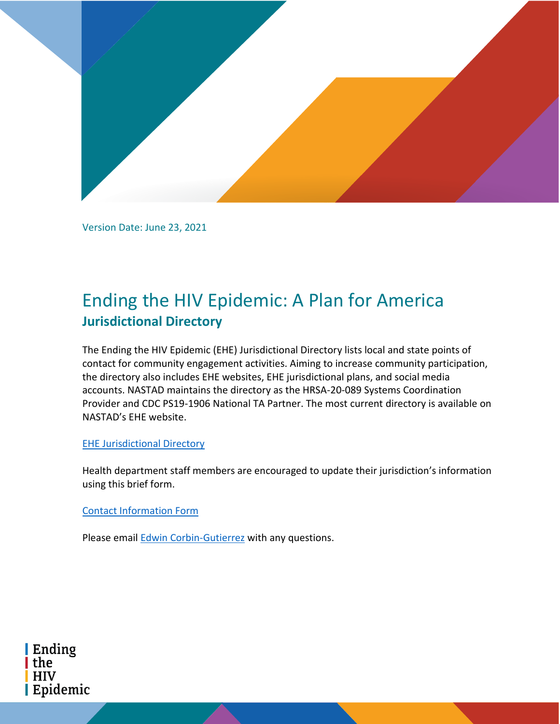

Version Date: June 23, 2021

# Ending the HIV Epidemic: A Plan for America **Jurisdictional Directory**

The Ending the HIV Epidemic (EHE) Jurisdictional Directory lists local and state points of contact for community engagement activities. Aiming to increase community participation, the directory also includes EHE websites, EHE jurisdictional plans, and social media accounts. NASTAD maintains the directory as the HRSA-20-089 Systems Coordination Provider and CDC PS19-1906 National TA Partner. The most current directory is available on NASTAD's EHE website.

# [EHE Jurisdictional Directory](https://www.nastad.org/ending-hiv-epidemic/contact)

Health department staff members are encouraged to update their jurisdiction's information using this brief form.

# [Contact Information Form](https://www.surveygizmo.com/s3/5835961/Ending-the-HIV-Epidemic-EHE-Jurisdictional-Directory)

Please email [Edwin Corbin-Gutierrez](mailto:ecg@nastad.org) with any questions.

Ending the **HIV** Epidemic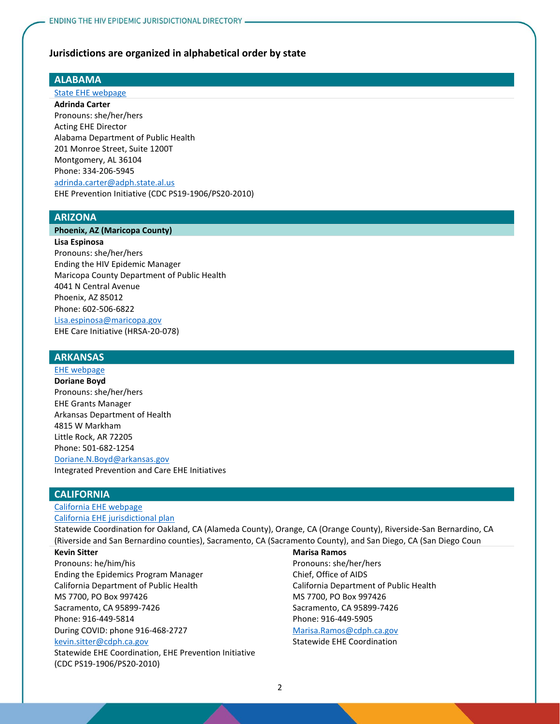### **Jurisdictions are organized in alphabetical order by state**

### **ALABAMA**

### [State EHE webpage](https://www.alabamapublichealth.gov/hiv/ehe.html)

**Adrinda Carter** Pronouns: she/her/hers Acting EHE Director Alabama Department of Public Health 201 Monroe Street, Suite 1200T Montgomery, AL 36104 Phone: 334-206-5945 [adrinda.carter@adph.state.al.us](mailto:adrinda.carter@adph.state.al.us) EHE Prevention Initiative (CDC PS19-1906/PS20-2010)

### **ARIZONA**

### **Phoenix, AZ (Maricopa County)**

**Lisa Espinosa** Pronouns: she/her/hers Ending the HIV Epidemic Manager Maricopa County Department of Public Health 4041 N Central Avenue Phoenix, AZ 85012 Phone: 602-506-6822 [Lisa.espinosa@maricopa.gov](mailto:Lisa.espinosa@maricopa.gov) EHE Care Initiative (HRSA-20-078)

## **ARKANSAS**

### [EHE webpage](https://www.healthy.arkansas.gov/programs-services/topics/hiv-elimination-plan)

**Doriane Boyd** Pronouns: she/her/hers EHE Grants Manager Arkansas Department of Health 4815 W Markham Little Rock, AR 72205 Phone: 501-682-1254 [Doriane.N.Boyd@arkansas.gov](mailto:Doriane.N.Boyd@arkansas.gov) Integrated Prevention and Care EHE Initiatives

### **CALIFORNIA**

### [California EHE webpage](https://www.cdph.ca.gov/Programs/CID/DOA/Pages/OA_div_EtE.aspx) [California EHE jurisdictional plan](https://www.cdph.ca.gov/Programs/CID/DOA/CDPH%20Document%20Library/IP_2016_Final_ADA.pdf)

Statewide Coordination for Oakland, CA (Alameda County), Orange, CA (Orange County), Riverside-San Bernardino, CA (Riverside and San Bernardino counties), Sacramento, CA (Sacramento County), and San Diego, CA (San Diego Coun

#### **Kevin Sitter**

Pronouns: he/him/his Ending the Epidemics Program Manager California Department of Public Health MS 7700, PO Box 997426 Sacramento, CA 95899-7426 Phone: 916-449-5814 During COVID: phone 916-468-2727

#### [kevin.sitter@cdph.ca.gov](mailto:kevin.sitter@cdph.ca.gov)

Statewide EHE Coordination, EHE Prevention Initiative (CDC PS19-1906/PS20-2010)

#### **Marisa Ramos**

Pronouns: she/her/hers Chief, Office of AIDS California Department of Public Health MS 7700, PO Box 997426 Sacramento, CA 95899-7426 Phone: 916-449-5905

[Marisa.Ramos@cdph.ca.gov](mailto:Marisa.Ramos@cdph.ca.gov) Statewide EHE Coordination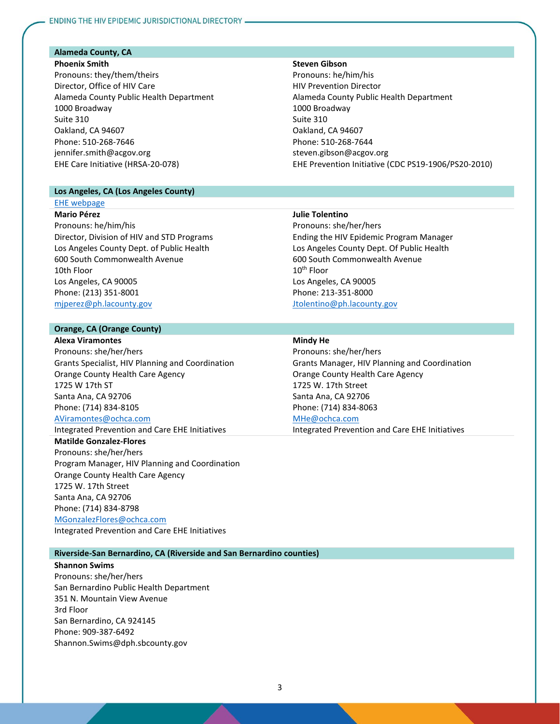### **Alameda County, CA**

#### **Phoenix Smith**

Pronouns: they/them/theirs Director, Office of HIV Care Alameda County Public Health Department 1000 Broadway Suite 310 Oakland, CA 94607 Phone: 510-268-7646 jennifer.smith@acgov.org EHE Care Initiative (HRSA-20-078)

### **Los Angeles, CA (Los Angeles County)**

### [EHE webpage](https://www.lacounty.hiv/)

**Mario Pérez** Pronouns: he/him/his Director, Division of HIV and STD Programs Los Angeles County Dept. of Public Health 600 South Commonwealth Avenue 10th Floor Los Angeles, CA 90005 Phone: (213) 351-8001 [mjperez@ph.lacounty.gov](mailto:mjperez@ph.lacounty.gov)

### **Orange, CA (Orange County)**

**Alexa Viramontes** Pronouns: she/her/hers Grants Specialist, HIV Planning and Coordination Orange County Health Care Agency 1725 W 17th ST Santa Ana, CA 92706 Phone: (714) 834-8105 [AViramontes@ochca.com](mailto:AViramontes@ochca.com) Integrated Prevention and Care EHE Initiatives

**Matilde Gonzalez-Flores** Pronouns: she/her/hers Program Manager, HIV Planning and Coordination Orange County Health Care Agency 1725 W. 17th Street Santa Ana, CA 92706 Phone: (714) 834-8798 [MGonzalezFlores@ochca.com](mailto:MGonzalezFlores@ochca.com)

Integrated Prevention and Care EHE Initiatives

### **Riverside-San Bernardino, CA (Riverside and San Bernardino counties)**

**Shannon Swims** Pronouns: she/her/hers San Bernardino Public Health Department 351 N. Mountain View Avenue 3rd Floor San Bernardino, CA 924145 Phone: 909-387-6492 Shannon.Swims@dph.sbcounty.gov

### **Steven Gibson**

Pronouns: he/him/his HIV Prevention Director Alameda County Public Health Department 1000 Broadway Suite 310 Oakland, CA 94607 Phone: 510-268-7644 steven.gibson@acgov.org EHE Prevention Initiative (CDC PS19-1906/PS20-2010)

#### **Julie Tolentino**

Pronouns: she/her/hers Ending the HIV Epidemic Program Manager Los Angeles County Dept. Of Public Health 600 South Commonwealth Avenue 10<sup>th</sup> Floor Los Angeles, CA 90005 Phone: 213-351-8000 [Jtolentino@ph.lacounty.gov](mailto:Jtolentino@ph.lacounty.gov)

### **Mindy He**

Pronouns: she/her/hers Grants Manager, HIV Planning and Coordination Orange County Health Care Agency 1725 W. 17th Street Santa Ana, CA 92706 Phone: (714) 834-8063 [MHe@ochca.com](mailto:MHe@ochca.com) Integrated Prevention and Care EHE Initiatives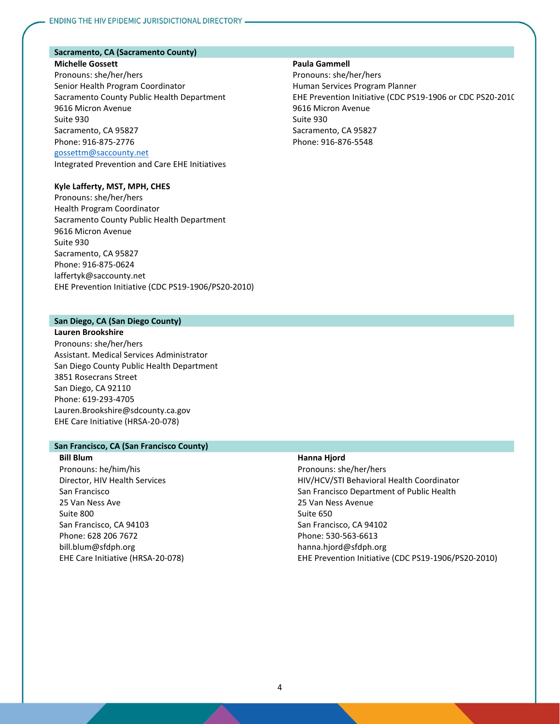### **Sacramento, CA (Sacramento County)**

### **Michelle Gossett** Pronouns: she/her/hers Senior Health Program Coordinator Sacramento County Public Health Department 9616 Micron Avenue Suite 930 Sacramento, CA 95827 Phone: 916-875-2776 [gossettm@saccounty.net](mailto:gossettm@saccounty.net) Integrated Prevention and Care EHE Initiatives

### **Kyle Lafferty, MST, MPH, CHES**

Pronouns: she/her/hers Health Program Coordinator Sacramento County Public Health Department 9616 Micron Avenue Suite 930 Sacramento, CA 95827 Phone: 916-875-0624 laffertyk@saccounty.net EHE Prevention Initiative (CDC PS19-1906/PS20-2010)

#### **San Diego, CA (San Diego County)**

**Lauren Brookshire** Pronouns: she/her/hers Assistant. Medical Services Administrator San Diego County Public Health Department 3851 Rosecrans Street San Diego, CA 92110 Phone: 619-293-4705 Lauren.Brookshire@sdcounty.ca.gov EHE Care Initiative (HRSA-20-078)

#### **San Francisco, CA (San Francisco County)**

**Bill Blum** Pronouns: he/him/his Director, HIV Health Services San Francisco 25 Van Ness Ave Suite 800 San Francisco, CA 94103 Phone: 628 206 7672 bill.blum@sfdph.org EHE Care Initiative (HRSA-20-078)

### **Paula Gammell**

Pronouns: she/her/hers Human Services Program Planner EHE Prevention Initiative (CDC PS19-1906 or CDC PS20-2010) 9616 Micron Avenue Suite 930 Sacramento, CA 95827 Phone: 916-876-5548

#### **Hanna Hjord**

Pronouns: she/her/hers HIV/HCV/STI Behavioral Health Coordinator San Francisco Department of Public Health 25 Van Ness Avenue Suite 650 San Francisco, CA 94102 Phone: 530-563-6613 hanna.hjord@sfdph.org EHE Prevention Initiative (CDC PS19-1906/PS20-2010)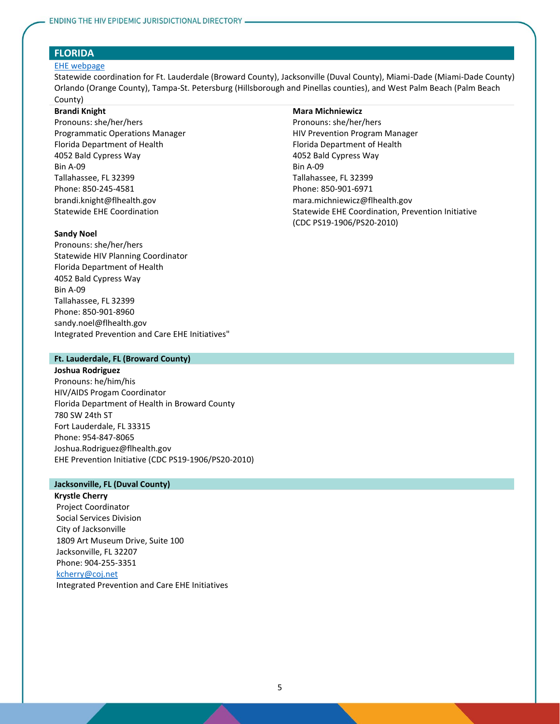### **FLORIDA**

#### [EHE webpage](http://www.floridahealth.gov/diseases-and-conditions/aids/ehe/)

Statewide coordination for Ft. Lauderdale (Broward County), Jacksonville (Duval County), Miami-Dade (Miami-Dade County), Orlando (Orange County), Tampa-St. Petersburg (Hillsborough and Pinellas counties), and West Palm Beach (Palm Beach County)

#### **Brandi Knight**

Pronouns: she/her/hers Programmatic Operations Manager Florida Department of Health 4052 Bald Cypress Way Bin A-09 Tallahassee, FL 32399 Phone: 850-245-4581 brandi.knight@flhealth.gov Statewide EHE Coordination

#### **Sandy Noel**

Pronouns: she/her/hers Statewide HIV Planning Coordinator Florida Department of Health 4052 Bald Cypress Way Bin A-09 Tallahassee, FL 32399 Phone: 850-901-8960 sandy.noel@flhealth.gov Integrated Prevention and Care EHE Initiatives"

### **Ft. Lauderdale, FL (Broward County)**

#### **Joshua Rodriguez**

Pronouns: he/him/his HIV/AIDS Progam Coordinator Florida Department of Health in Broward County 780 SW 24th ST Fort Lauderdale, FL 33315 Phone: 954-847-8065 Joshua.Rodriguez@flhealth.gov EHE Prevention Initiative (CDC PS19-1906/PS20-2010)

### **Jacksonville, FL (Duval County)**

**Krystle Cherry** Project Coordinator Social Services Division City of Jacksonville 1809 Art Museum Drive, Suite 100 Jacksonville, FL 32207 Phone: 904-255-3351

### [kcherry@coj.net](mailto:kcherry@coj.net)

Integrated Prevention and Care EHE Initiatives

### **Mara Michniewicz**

Pronouns: she/her/hers HIV Prevention Program Manager Florida Department of Health 4052 Bald Cypress Way Bin A-09 Tallahassee, FL 32399 Phone: 850-901-6971 mara.michniewicz@flhealth.gov Statewide EHE Coordination, Prevention Initiative (CDC PS19-1906/PS20-2010)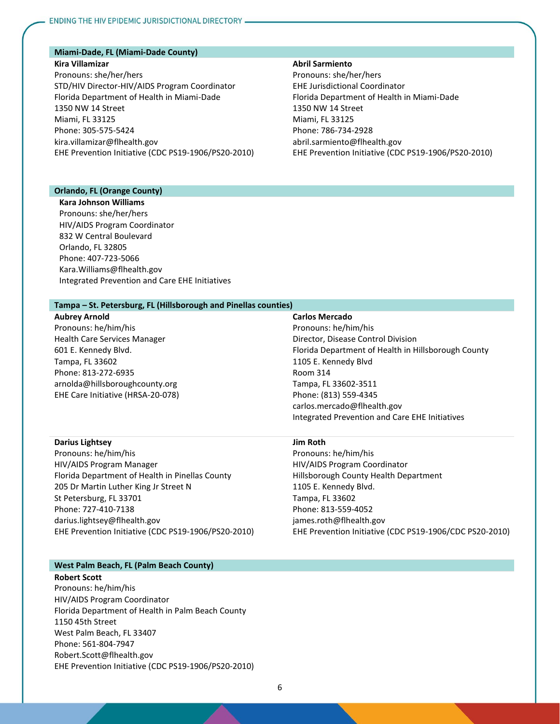### **Miami-Dade, FL (Miami-Dade County)**

#### **Kira Villamizar**

Pronouns: she/her/hers STD/HIV Director-HIV/AIDS Program Coordinator Florida Department of Health in Miami-Dade 1350 NW 14 Street Miami, FL 33125 Phone: 305-575-5424 kira.villamizar@flhealth.gov EHE Prevention Initiative (CDC PS19-1906/PS20-2010)

### **Abril Sarmiento**

Pronouns: she/her/hers EHE Jurisdictional Coordinator Florida Department of Health in Miami-Dade 1350 NW 14 Street Miami, FL 33125 Phone: 786-734-2928 abril.sarmiento@flhealth.gov EHE Prevention Initiative (CDC PS19-1906/PS20-2010)

### **Orlando, FL (Orange County)**

**Kara Johnson Williams** Pronouns: she/her/hers HIV/AIDS Program Coordinator 832 W Central Boulevard Orlando, FL 32805 Phone: 407-723-5066 Kara.Williams@flhealth.gov Integrated Prevention and Care EHE Initiatives

#### **Tampa – St. Petersburg, FL (Hillsborough and Pinellas counties)**

**Aubrey Arnold** Pronouns: he/him/his Health Care Services Manager 601 E. Kennedy Blvd. Tampa, FL 33602 Phone: 813-272-6935 arnolda@hillsboroughcounty.org EHE Care Initiative (HRSA-20-078)

### **Carlos Mercado**

Pronouns: he/him/his Director, Disease Control Division Florida Department of Health in Hillsborough County 1105 E. Kennedy Blvd Room 314 Tampa, FL 33602-3511 Phone: (813) 559-4345 carlos.mercado@flhealth.gov Integrated Prevention and Care EHE Initiatives

#### **Darius Lightsey**

Pronouns: he/him/his HIV/AIDS Program Manager Florida Department of Health in Pinellas County 205 Dr Martin Luther King Jr Street N St Petersburg, FL 33701 Phone: 727-410-7138 darius.lightsey@flhealth.gov EHE Prevention Initiative (CDC PS19-1906/PS20-2010)

#### **Jim Roth**

Pronouns: he/him/his HIV/AIDS Program Coordinator Hillsborough County Health Department 1105 E. Kennedy Blvd. Tampa, FL 33602 Phone: 813-559-4052 james.roth@flhealth.gov EHE Prevention Initiative (CDC PS19-1906/CDC PS20-2010)

### **West Palm Beach, FL (Palm Beach County)**

#### **Robert Scott**

Pronouns: he/him/his HIV/AIDS Program Coordinator Florida Department of Health in Palm Beach County 1150 45th Street West Palm Beach, FL 33407 Phone: 561-804-7947 Robert.Scott@flhealth.gov EHE Prevention Initiative (CDC PS19-1906/PS20-2010)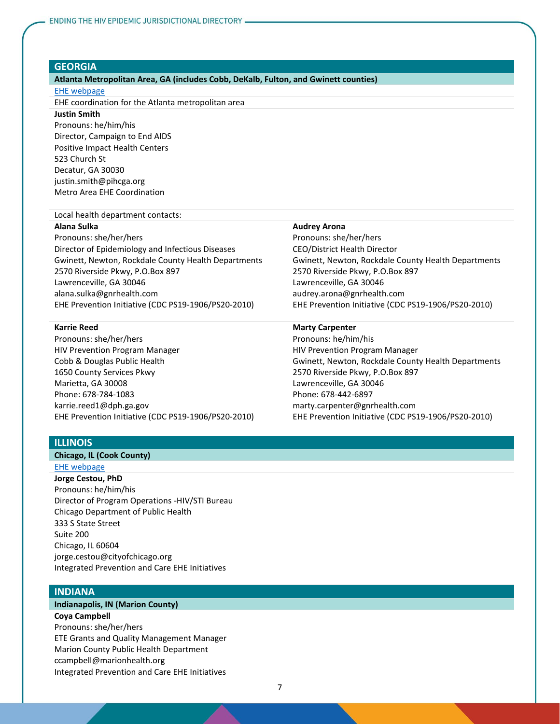#### **GEORGIA**

#### **Atlanta Metropolitan Area, GA (includes Cobb, DeKalb, Fulton, and Gwinett counties)**

#### [EHE webpage](https://www.endinghivinga.org/)

EHE coordination for the Atlanta metropolitan area

# **Justin Smith**

Pronouns: he/him/his Director, Campaign to End AIDS Positive Impact Health Centers 523 Church St Decatur, GA 30030 justin.smith@pihcga.org Metro Area EHE Coordination

#### Local health department contacts:

#### **Alana Sulka**

Pronouns: she/her/hers Director of Epidemiology and Infectious Diseases Gwinett, Newton, Rockdale County Health Departments 2570 Riverside Pkwy, P.O.Box 897 Lawrenceville, GA 30046 alana.sulka@gnrhealth.com EHE Prevention Initiative (CDC PS19-1906/PS20-2010)

#### **Karrie Reed**

Pronouns: she/her/hers HIV Prevention Program Manager Cobb & Douglas Public Health 1650 County Services Pkwy Marietta, GA 30008 Phone: 678-784-1083 karrie.reed1@dph.ga.gov EHE Prevention Initiative (CDC PS19-1906/PS20-2010)

#### **Audrey Arona**

Pronouns: she/her/hers CEO/District Health Director Gwinett, Newton, Rockdale County Health Departments 2570 Riverside Pkwy, P.O.Box 897 Lawrenceville, GA 30046 audrey.arona@gnrhealth.com EHE Prevention Initiative (CDC PS19-1906/PS20-2010)

#### **Marty Carpenter**

Pronouns: he/him/his HIV Prevention Program Manager Gwinett, Newton, Rockdale County Health Departments 2570 Riverside Pkwy, P.O.Box 897 Lawrenceville, GA 30046 Phone: 678-442-6897 marty.carpenter@gnrhealth.com EHE Prevention Initiative (CDC PS19-1906/PS20-2010)

### **ILLINOIS**

### **Chicago, IL (Cook County)**

#### [EHE webpage](https://gtzillinois.hiv/)

**Jorge Cestou, PhD** Pronouns: he/him/his Director of Program Operations -HIV/STI Bureau Chicago Department of Public Health 333 S State Street Suite 200 Chicago, IL 60604 jorge.cestou@cityofchicago.org Integrated Prevention and Care EHE Initiatives

### **INDIANA**

#### **Indianapolis, IN (Marion County)**

**Coya Campbell** Pronouns: she/her/hers ETE Grants and Quality Management Manager Marion County Public Health Department ccampbell@marionhealth.org Integrated Prevention and Care EHE Initiatives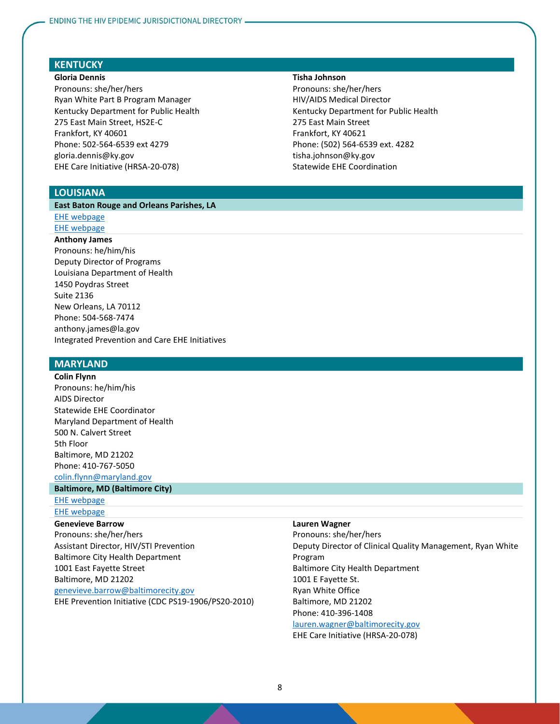# **KENTUCKY**

#### **Gloria Dennis**

Pronouns: she/her/hers Ryan White Part B Program Manager Kentucky Department for Public Health 275 East Main Street, HS2E-C Frankfort, KY 40601 Phone: 502-564-6539 ext 4279 gloria.dennis@ky.gov EHE Care Initiative (HRSA-20-078)

### **LOUISIANA**

#### **East Baton Rouge and Orleans Parishes, LA**

### [EHE webpage](https://louisianahealthhub.org/hiv-baton-rouge/)

#### [EHE webpage](https://louisianahealthhub.org/get-loud-louisiana/)

#### **Anthony James**

Pronouns: he/him/his Deputy Director of Programs Louisiana Department of Health 1450 Poydras Street Suite 2136 New Orleans, LA 70112 Phone: 504-568-7474 anthony.james@la.gov Integrated Prevention and Care EHE Initiatives

### **MARYLAND**

**Colin Flynn** Pronouns: he/him/his AIDS Director Statewide EHE Coordinator Maryland Department of Health 500 N. Calvert Street 5th Floor Baltimore, MD 21202 Phone: 410-767-5050 [colin.flynn@maryland.gov](mailto:colin.flynn@maryland.gov)

#### **Baltimore, MD (Baltimore City)**

[EHE webpage](http://www.baltimorepc.org/v2/main/page.php?page_id=1)

# [EHE webpage](https://www.endhivbaltimore.com/)

### **Genevieve Barrow** Pronouns: she/her/hers Assistant Director, HIV/STI Prevention Baltimore City Health Department

1001 East Fayette Street Baltimore, MD 21202

[genevieve.barrow@baltimorecity.gov](mailto:genevieve.barrow@baltimorecity.gov) EHE Prevention Initiative (CDC PS19-1906/PS20-2010)

#### **Tisha Johnson**

Pronouns: she/her/hers HIV/AIDS Medical Director Kentucky Department for Public Health 275 East Main Street Frankfort, KY 40621 Phone: (502) 564-6539 ext. 4282 tisha.johnson@ky.gov Statewide EHE Coordination

#### **Lauren Wagner**

Pronouns: she/her/hers Deputy Director of Clinical Quality Management, Ryan White Program Baltimore City Health Department 1001 E Fayette St. Ryan White Office Baltimore, MD 21202 Phone: 410-396-1408

[lauren.wagner@baltimorecity.gov](mailto:lauren.wagner@baltimorecity.gov) EHE Care Initiative (HRSA-20-078)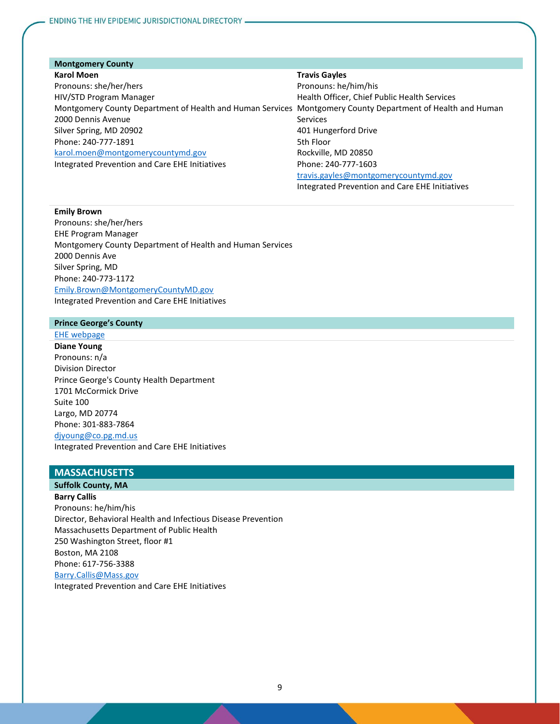### **Montgomery County Karol Moen**

### **Travis Gayles**

Pronouns: she/her/hers HIV/STD Program Manager Montgomery County Department of Health and Human Services Montgomery County Department of Health and Human 2000 Dennis Avenue Silver Spring, MD 20902 Phone: 240-777-1891 [karol.moen@montgomerycountymd.gov](mailto:karol.moen@montgomerycountymd.gov) Integrated Prevention and Care EHE Initiatives Pronouns: he/him/his Health Officer, Chief Public Health Services Services 401 Hungerford Drive 5th Floor Rockville, MD 20850 Phone: 240-777-1603 [travis.gayles@montgomerycountymd.gov](mailto:travis.gayles@montgomerycountymd.gov)

Integrated Prevention and Care EHE Initiatives

#### **Emily Brown**

Pronouns: she/her/hers EHE Program Manager Montgomery County Department of Health and Human Services 2000 Dennis Ave Silver Spring, MD Phone: 240-773-1172 [Emily.Brown@MontgomeryCountyMD.gov](mailto:Emily.Brown@MontgomeryCountyMD.gov) Integrated Prevention and Care EHE Initiatives

### **Prince George's County**

### [EHE webpage](https://www.princegeorgescountymd.gov/3212/Ending-the-HIV-Epidemic#:~:text=Prince%20George)

**Diane Young** Pronouns: n/a Division Director Prince George's County Health Department 1701 McCormick Drive Suite 100 Largo, MD 20774 Phone: 301-883-7864 [djyoung@co.pg.md.us](mailto:djyoung@co.pg.md.us) Integrated Prevention and Care EHE Initiatives

### **MASSACHUSETTS**

### **Suffolk County, MA**

**Barry Callis** Pronouns: he/him/his Director, Behavioral Health and Infectious Disease Prevention Massachusetts Department of Public Health 250 Washington Street, floor #1 Boston, MA 2108 Phone: 617-756-3388 [Barry.Callis@Mass.gov](mailto:Barry.Callis@Mass.gov) Integrated Prevention and Care EHE Initiatives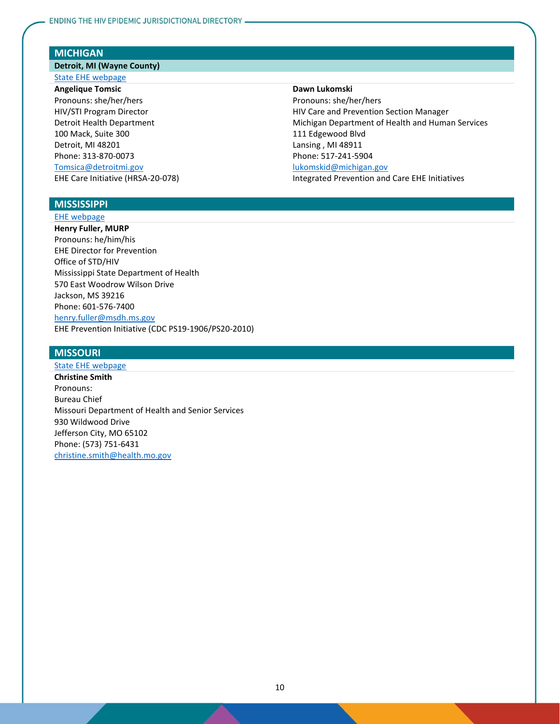### **MICHIGAN**

# **Detroit, MI (Wayne County)**

### [State EHE webpage](https://www.michigan.gov/mdhhs/0,5885,7-339-71550_2955_2982-519007--,00.html)

**Angelique Tomsic** Pronouns: she/her/hers HIV/STI Program Director Detroit Health Department 100 Mack, Suite 300 Detroit, MI 48201 Phone: 313-870-0073 [Tomsica@detroitmi.gov](mailto:Tomsica@detroitmi.gov) EHE Care Initiative (HRSA-20-078)

#### **Dawn Lukomski**

Pronouns: she/her/hers HIV Care and Prevention Section Manager Michigan Department of Health and Human Services 111 Edgewood Blvd Lansing , MI 48911 Phone: 517-241-5904 [lukomskid@michigan.gov](mailto:lukomskid@michigan.gov) Integrated Prevention and Care EHE Initiatives

### **MISSISSIPPI**

#### [EHE webpage](https://msdh.ms.gov/msdhsite/_static/4,0,204.html)

**Henry Fuller, MURP** Pronouns: he/him/his EHE Director for Prevention Office of STD/HIV Mississippi State Department of Health 570 East Woodrow Wilson Drive Jackson, MS 39216 Phone: 601-576-7400 [henry.fuller@msdh.ms.gov](mailto:henry.fuller@msdh.ms.gov) EHE Prevention Initiative (CDC PS19-1906/PS20-2010)

### **MISSOURI**

### [State EHE webpage](https://health.mo.gov/living/healthcondiseases/communicable/hivaids/hiv-epidemic.php) **Christine Smith** Pronouns: Bureau Chief Missouri Department of Health and Senior Services 930 Wildwood Drive Jefferson City, MO 65102 Phone: (573) 751-6431 [christine.smith@health.mo.gov](mailto:christine.smith@health.mo.gov)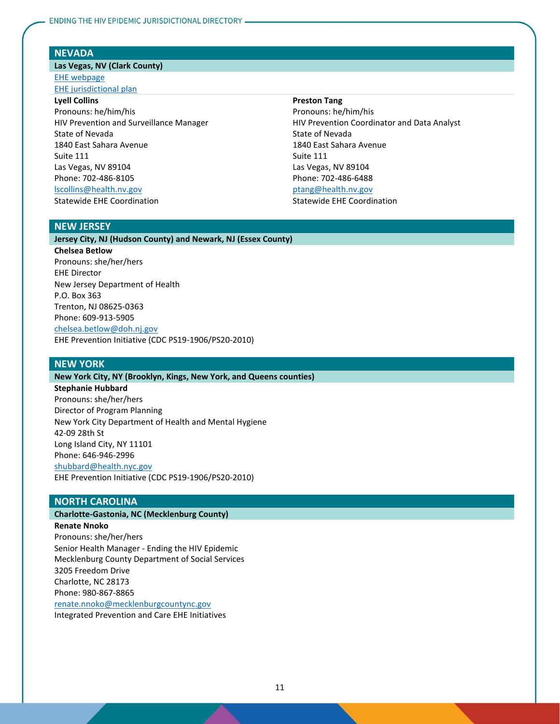#### **NEVADA**

### **Las Vegas, NV (Clark County)**

[EHE webpage](https://endhivnevada.org/) [EHE jurisdictional plan](https://endhivnevada.org/initiatives_and_progress/ending-the-hiv-epidemic/)

### **Lyell Collins**

Pronouns: he/him/his HIV Prevention and Surveillance Manager State of Nevada 1840 East Sahara Avenue Suite 111 Las Vegas, NV 89104 Phone: 702-486-8105 [lscollins@health.nv.gov](mailto:lscollins@health.nv.gov) Statewide EHE Coordination

### **Preston Tang**

Pronouns: he/him/his HIV Prevention Coordinator and Data Analyst State of Nevada 1840 East Sahara Avenue Suite 111 Las Vegas, NV 89104 Phone: 702-486-6488 [ptang@health.nv.gov](mailto:ptang@health.nv.gov) Statewide EHE Coordination

# **NEW JERSEY**

### **Jersey City, NJ (Hudson County) and Newark, NJ (Essex County)**

**Chelsea Betlow** Pronouns: she/her/hers EHE Director New Jersey Department of Health P.O. Box 363 Trenton, NJ 08625-0363 Phone: 609-913-5905 [chelsea.betlow@doh.nj.gov](mailto:chelsea.betlow@doh.nj.gov) EHE Prevention Initiative (CDC PS19-1906/PS20-2010)

### **NEW YORK**

**New York City, NY (Brooklyn, Kings, New York, and Queens counties)**

**Stephanie Hubbard** Pronouns: she/her/hers Director of Program Planning New York City Department of Health and Mental Hygiene 42-09 28th St Long Island City, NY 11101 Phone: 646-946-2996 [shubbard@health.nyc.gov](mailto:shubbard@health.nyc.gov) EHE Prevention Initiative (CDC PS19-1906/PS20-2010)

#### **NORTH CAROLINA**

### **Charlotte-Gastonia, NC (Mecklenburg County)**

**Renate Nnoko**

Pronouns: she/her/hers Senior Health Manager - Ending the HIV Epidemic Mecklenburg County Department of Social Services 3205 Freedom Drive Charlotte, NC 28173 Phone: 980-867-8865 [renate.nnoko@mecklenburgcountync.gov](mailto:renate.nnoko@mecklenburgcountync.gov)

Integrated Prevention and Care EHE Initiatives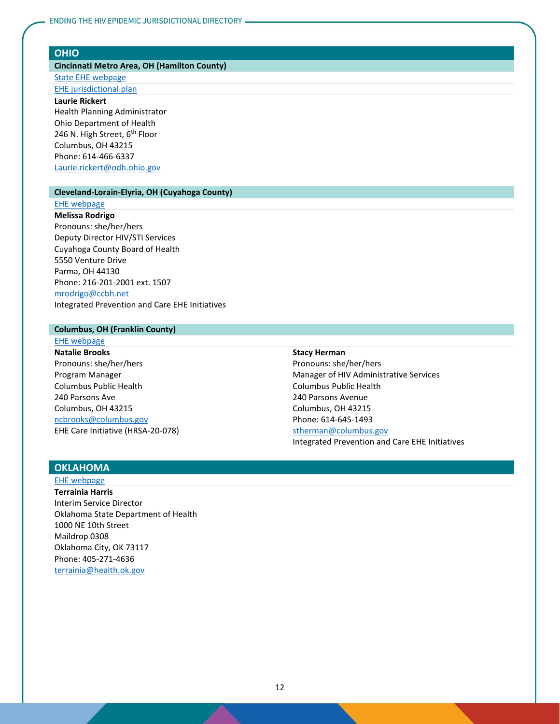### **OHIO**

### **Cincinnati Metro Area, OH (Hamilton County)**

[State EHE webpage](https://odh.ohio.gov/wps/portal/gov/odh/know-our-programs/hiv-aids-surveillance-program/End-the-HIV-Epidemic)

# [EHE jurisdictional plan](https://www.communitysolutions.com/resources/ending-the-epidemic/ending-epidemic-hamilton-county/)

**Laurie Rickert** Health Planning Administrator

Ohio Department of Health 246 N. High Street, 6<sup>th</sup> Floor Columbus, OH 43215 Phone: 614-466-6337 [Laurie.rickert@odh.ohio.gov](mailto:Laurie.rickert@odh.ohio.gov)

#### **Cleveland-Lorain-Elyria, OH (Cuyahoga County)**

#### [EHE webpage](https://www.communitysolutions.com/resources/ending-the-epidemic/ending-epidemic-cuyahoga-county/)

**Melissa Rodrigo** Pronouns: she/her/hers Deputy Director HIV/STI Services Cuyahoga County Board of Health 5550 Venture Drive Parma, OH 44130 Phone: 216-201-2001 ext. 1507 [mrodrigo@ccbh.net](mailto:mrodrigo@ccbh.net) Integrated Prevention and Care EHE Initiatives

### **Columbus, OH (Franklin County)**

### [EHE webpage](https://odh.ohio.gov/wps/wcm/connect/gov/ecd98395-a57c-4802-8a5d-2ae9f0caf62e/EtHE+Franklin+2019.pdf?MOD=AJPERES&CONVERT_TO=url&CACHEID=ROOTWORKSPACE.Z18_M1HGGIK0N0JO00QO9DDDDM3000-ecd98395-a57c-4802-8a5d-2ae9f0caf62e-ngdxHbU)

**Natalie Brooks** Pronouns: she/her/hers Program Manager Columbus Public Health 240 Parsons Ave Columbus, OH 43215 [ncbrooks@columbus.gov](mailto:ncbrooks@columbus.gov) EHE Care Initiative (HRSA-20-078)

#### **Stacy Herman**

Pronouns: she/her/hers Manager of HIV Administrative Services Columbus Public Health 240 Parsons Avenue Columbus, OH 43215 Phone: 614-645-1493

### [stherman@columbus.gov](mailto:stherman@columbus.gov)

Integrated Prevention and Care EHE Initiatives

# **OKLAHOMA**

# [EHE webpage](https://www.ok.gov/health/Prevention_and_Preparedness/Sexual_Health_&_Harm_Reduction_Service/index.html)

**Terrainia Harris** Interim Service Director Oklahoma State Department of Health 1000 NE 10th Street Maildrop 0308 Oklahoma City, OK 73117 Phone: 405-271-4636 [terrainia@health.ok.gov](mailto:terrainia@health.ok.gov)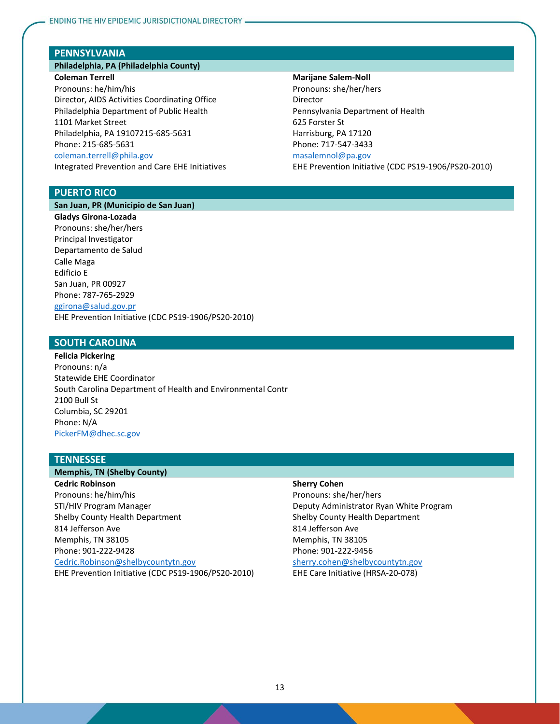### **PENNSYLVANIA**

### **Philadelphia, PA (Philadelphia County) Coleman Terrell**

Pronouns: he/him/his Director, AIDS Activities Coordinating Office Philadelphia Department of Public Health 1101 Market Street Philadelphia, PA 19107215-685-5631 Phone: 215-685-5631 [coleman.terrell@phila.gov](mailto:coleman.terrell@phila.gov) Integrated Prevention and Care EHE Initiatives

#### **Marijane Salem-Noll**

Pronouns: she/her/hers Director Pennsylvania Department of Health 625 Forster St Harrisburg, PA 17120 Phone: 717-547-3433 [masalemnol@pa.gov](mailto:masalemnol@pa.gov) EHE Prevention Initiative (CDC PS19-1906/PS20-2010)

### **PUERTO RICO**

**San Juan, PR (Municipio de San Juan)**

**Gladys Girona-Lozada** Pronouns: she/her/hers Principal Investigator Departamento de Salud Calle Maga Edificio E San Juan, PR 00927 Phone: 787-765-2929 [ggirona@salud.gov.pr](mailto:ggirona@salud.gov.pr) EHE Prevention Initiative (CDC PS19-1906/PS20-2010)

### **SOUTH CAROLINA**

**Felicia Pickering** Pronouns: n/a Statewide EHE Coordinator South Carolina Department of Health and Environmental Contr 2100 Bull St Columbia, SC 29201 Phone: N/A [PickerFM@dhec.sc.gov](mailto:PickerFM@dhec.sc.gov)

### **TENNESSEE**

#### **Memphis, TN (Shelby County)**

**Cedric Robinson** Pronouns: he/him/his STI/HIV Program Manager Shelby County Health Department 814 Jefferson Ave Memphis, TN 38105 Phone: 901-222-9428 [Cedric.Robinson@shelbycountytn.gov](mailto:Cedric.Robinson@shelbycountytn.gov) EHE Prevention Initiative (CDC PS19-1906/PS20-2010)

#### **Sherry Cohen**

Pronouns: she/her/hers Deputy Administrator Ryan White Program Shelby County Health Department 814 Jefferson Ave Memphis, TN 38105 Phone: 901-222-9456 [sherry.cohen@shelbycountytn.gov](mailto:sherry.cohen@shelbycountytn.gov) EHE Care Initiative (HRSA-20-078)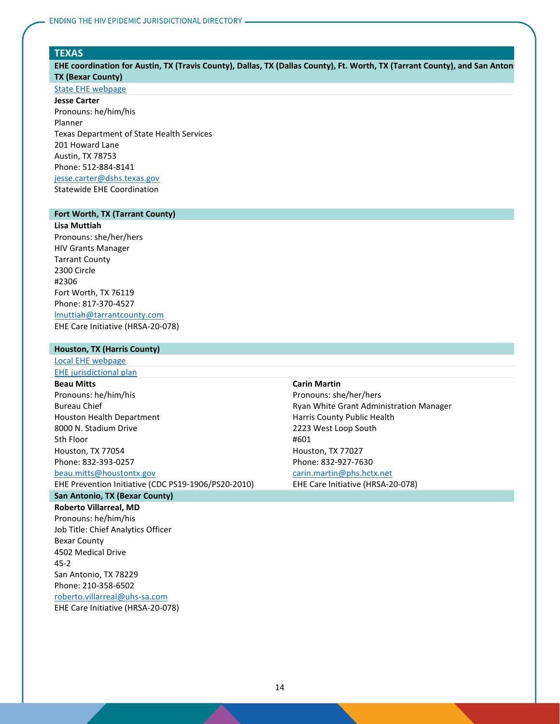#### **TEXAS**

EHE coordination for Austin, TX (Travis County), Dallas, TX (Dallas County), Ft. Worth, TX (Tarrant County), and San Antoni **TX (Bexar County)**

### [State EHE webpage](https://achievingtogethertx.org/)

**Jesse Carter** Pronouns: he/him/his Planner Texas Department of State Health Services 201 Howard Lane Austin, TX 78753 Phone: 512-884-8141 [jesse.carter@dshs.texas.gov](mailto:jesse.carter@dshs.texas.gov)

Statewide EHE Coordination

### **Fort Worth, TX (Tarrant County)**

**Lisa Muttiah** Pronouns: she/her/hers HIV Grants Manager Tarrant County 2300 Circle #2306 Fort Worth, TX 76119 Phone: 817-370-4527 [lmuttiah@tarrantcounty.com](mailto:lmuttiah@tarrantcounty.com) EHE Care Initiative (HRSA-20-078)

### **Houston, TX (Harris County)**

[Local EHE webpage](http://endhivhouston.org/)

# [EHE jurisdictional plan](http://endhivhouston.org/wp-content/uploads/2016/11/END-Roadmap.pdf)

**Beau Mitts**

Pronouns: he/him/his Bureau Chief Houston Health Department 8000 N. Stadium Drive 5th Floor Houston, TX 77054 Phone: 832-393-0257

### [beau.mitts@houstontx.gov](mailto:beau.mitts@houstontx.gov)

EHE Prevention Initiative (CDC PS19-1906/PS20-2010)

### **San Antonio, TX (Bexar County)**

**Roberto Villarreal, MD** Pronouns: he/him/his Job Title: Chief Analytics Officer Bexar County 4502 Medical Drive 45-2 San Antonio, TX 78229 Phone: 210-358-6502 [roberto.villarreal@uhs-sa.com](mailto:roberto.villarreal@uhs-sa.com) EHE Care Initiative (HRSA-20-078)

#### **Carin Martin**

Pronouns: she/her/hers Ryan White Grant Administration Manager Harris County Public Health 2223 West Loop South #601 Houston, TX 77027 Phone: 832-927-7630 [carin.martin@phs.hctx.net](mailto:carin.martin@phs.hctx.net)

EHE Care Initiative (HRSA-20-078)